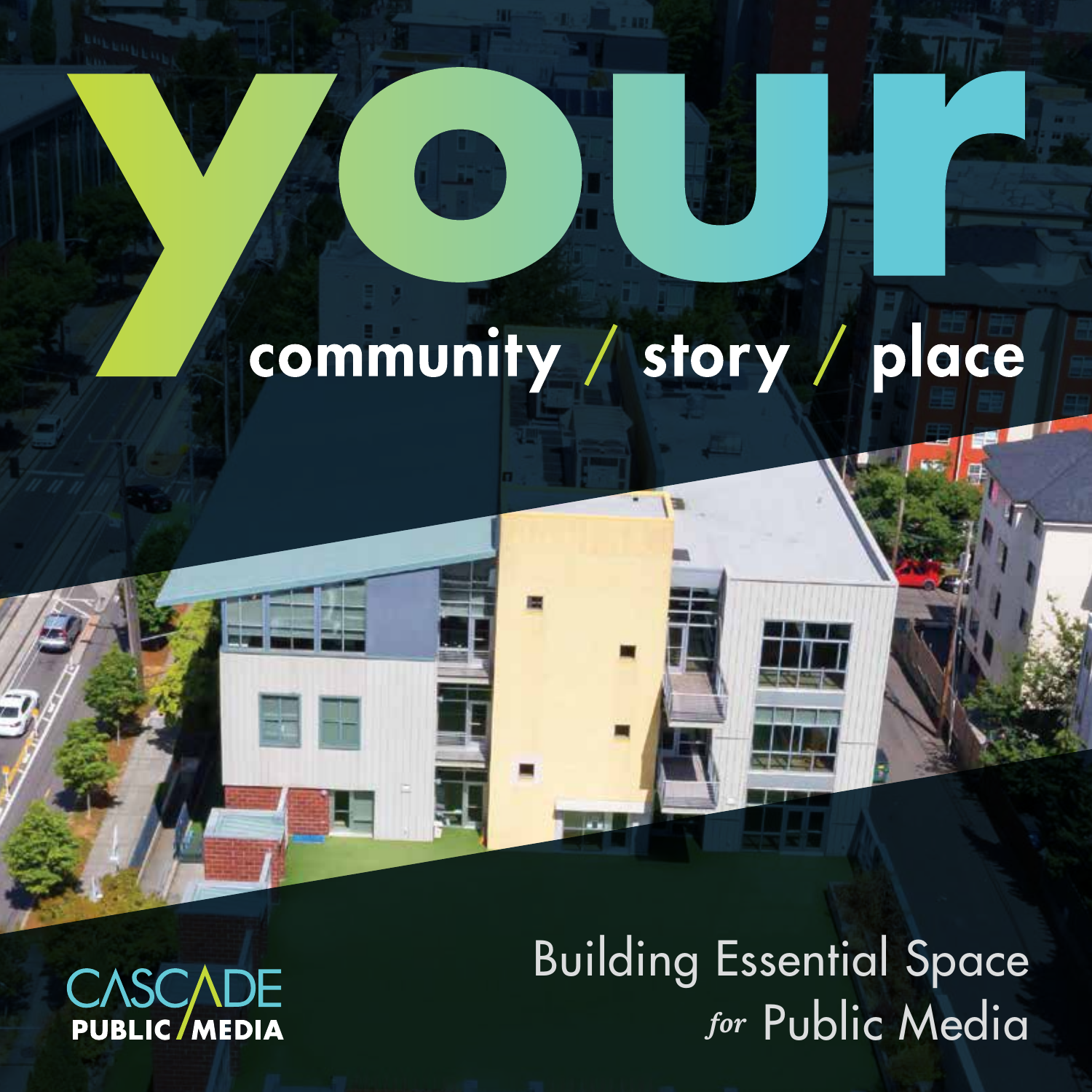### community / story / place

**CASCADE PUBLIC/MEDIA** 

Building Essential Space *for* Public Media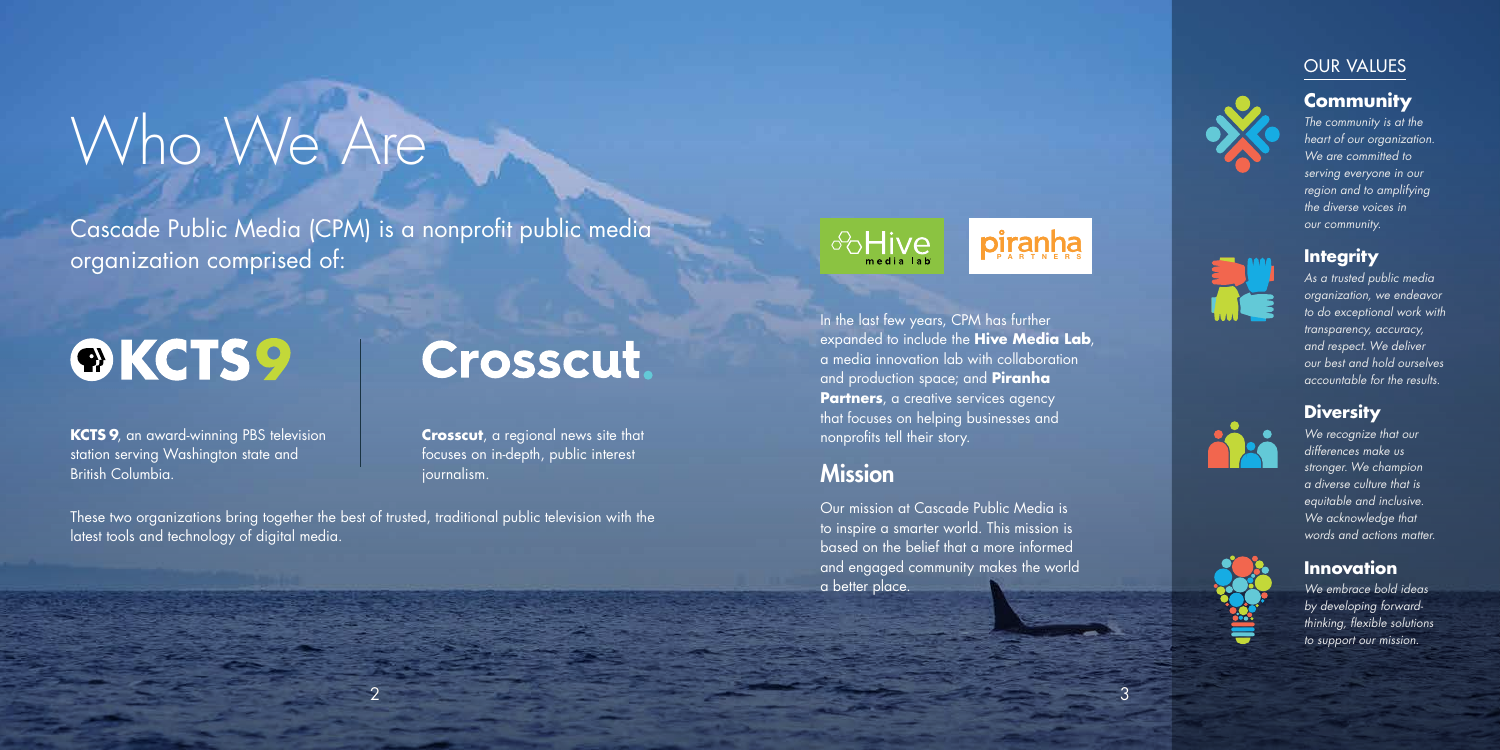

In the last few years, CPM has further expanded to include the **Hive Media Lab**, a media innovation lab with collaboration and production space; and **Piranha Partners**, a creative services agency that focuses on helping businesses and nonprofits tell their story. Example of public media<br>
Example of public media<br>
Crosscut.<br>
Alission<br>
Mission<br>
Mission<br>
Mission<br>
Mission

#### **Mission**

2



**Crosscut**, a regional news site that focuses on in-depth, public interest journalism.

> Our mission at Cascade Public Media is to inspire a smarter world. This mission is based on the belief that a more informed and engaged community makes the world a better place.

# Who We Are

Cascade Public Media (CPM) is a nonprofit public media organization comprised of:

## ®KCTS9

**KCTS 9**, an award-winning PBS television station serving Washington state and British Columbia.

These two organizations bring together the best of trusted, traditional public television with the latest tools and technology of digital media.

#### **Community**

*The community is at the heart of our organization. We are committed to serving everyone in our region and to amplifying the diverse voices in our community.*

#### **Integrity**

*As a trusted public media organization, we endeavor to do exceptional work with transparency, accuracy, and respect. We deliver our best and hold ourselves accountable for the results.*

#### **Diversity**

*We recognize that our differences make us stronger. We champion a diverse culture that is equitable and inclusive. We acknowledge that words and actions matter.*

#### **Innovation**

*We embrace bold ideas by developing forwardthinking, flexible solutions to support our mission.*





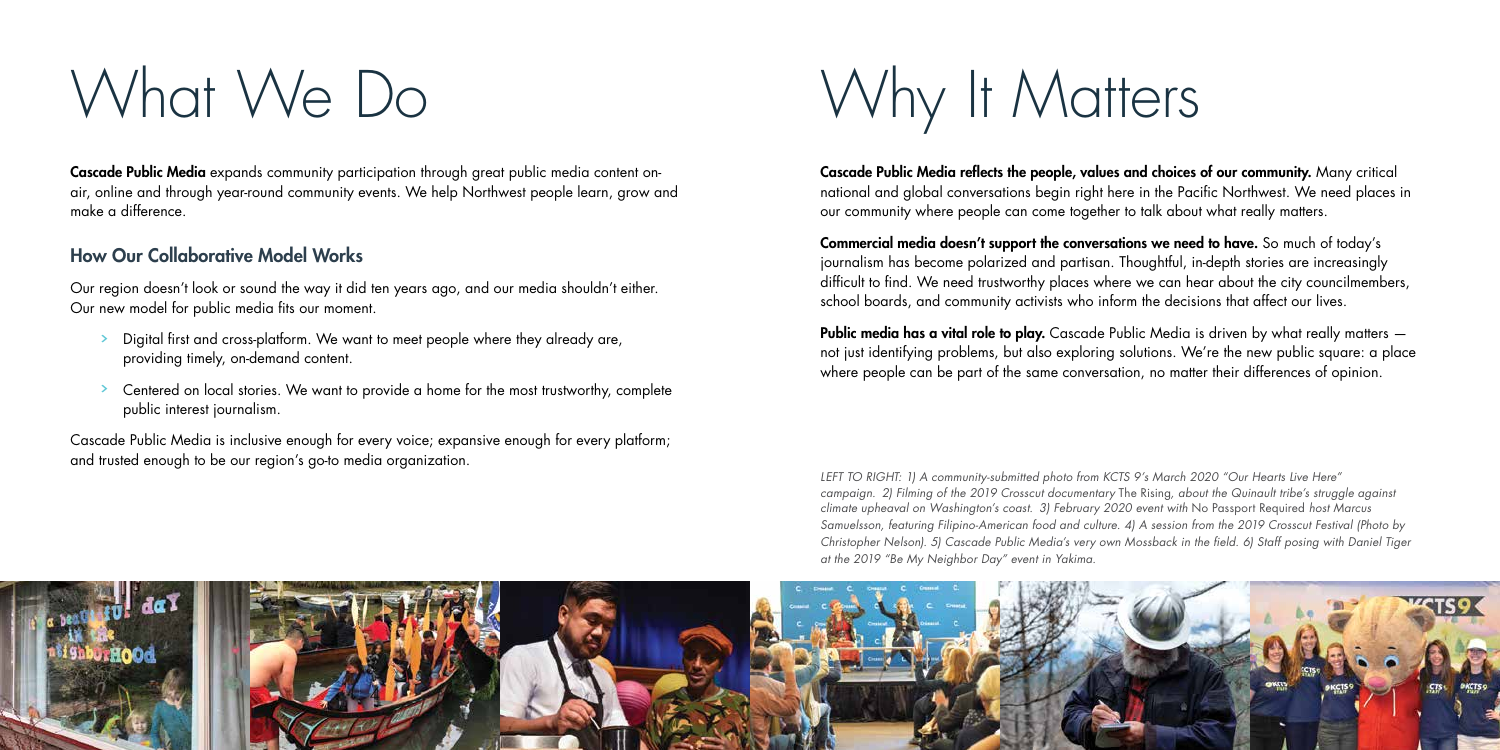

# What We Do

Cascade Public Media expands community participation through great public media content onair, online and through year-round community events. We help Northwest people learn, grow and make a difference.

#### How Our Collaborative Model Works

- Digital first and cross-platform. We want to meet people where they already are, providing timely, on-demand content.
- Centered on local stories. We want to provide a home for the most trustworthy, complete public interest journalism.

Our region doesn't look or sound the way it did ten years ago, and our media shouldn't either. Our new model for public media fits our moment.

Cascade Public Media is inclusive enough for every voice; expansive enough for every platform; and trusted enough to be our region's go-to media organization.

Why It Matters

Public media has a vital role to play. Cascade Public Media is driven by what really matters not just identifying problems, but also exploring solutions. We're the new public square: a place where people can be part of the same conversation, no matter their differences of opinion.

Cascade Public Media reflects the people, values and choices of our community. Many critical national and global conversations begin right here in the Pacific Northwest. We need places in our community where people can come together to talk about what really matters.

Commercial media doesn't support the conversations we need to have. So much of today's journalism has become polarized and partisan. Thoughtful, in-depth stories are increasingly difficult to find. We need trustworthy places where we can hear about the city councilmembers, school boards, and community activists who inform the decisions that affect our lives.

*LEFT TO RIGHT: 1) A community-submitted photo from KCTS 9's March 2020 "Our Hearts Live Here" campaign. 2) Filming of the 2019 Crosscut documentary* The Rising*, about the Quinault tribe's struggle against climate upheaval on Washington's coast. 3) February 2020 event with* No Passport Required *host Marcus Samuelsson, featuring Filipino-American food and culture. 4) A session from the 2019 Crosscut Festival (Photo by Christopher Nelson). 5) Cascade Public Media's very own Mossback in the field. 6) Staff posing with Daniel Tiger at the 2019 "Be My Neighbor Day" event in Yakima.*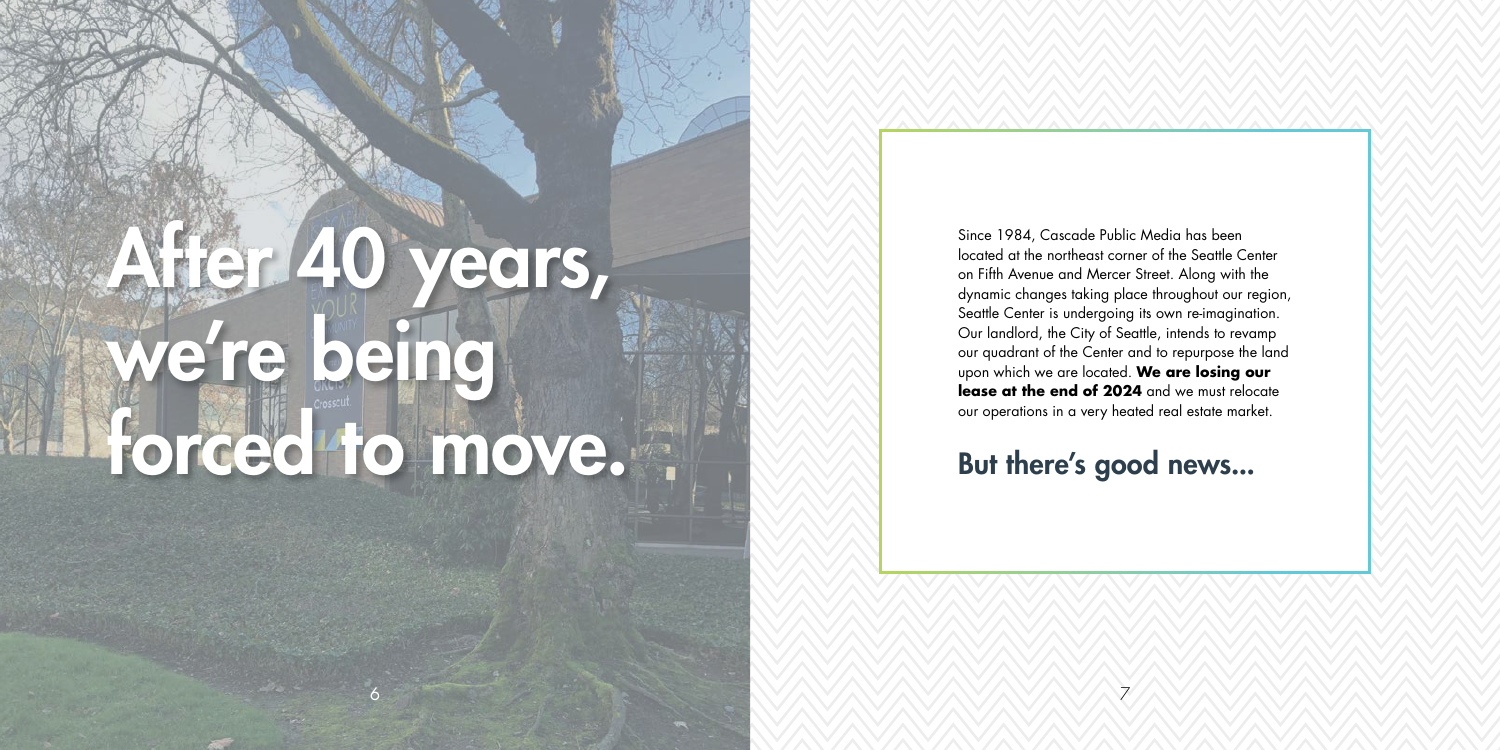

Since 1984, Cascade Public Media has been located at the northeast corner of the Seattle Center on Fifth Avenue and Mercer Street. Along with the dynamic changes taking place throughout our region, Seattle Center is undergoing its own re-imagination. Our landlord, the City of Seattle, intends to revamp our quadrant of the Center and to repurpose the land upon which we are located. **We are losing our lease at the end of 2024** and we must relocate our operations in a very heated real estate market.

But there's good news...

# After 40 years, we're being forced to move.

6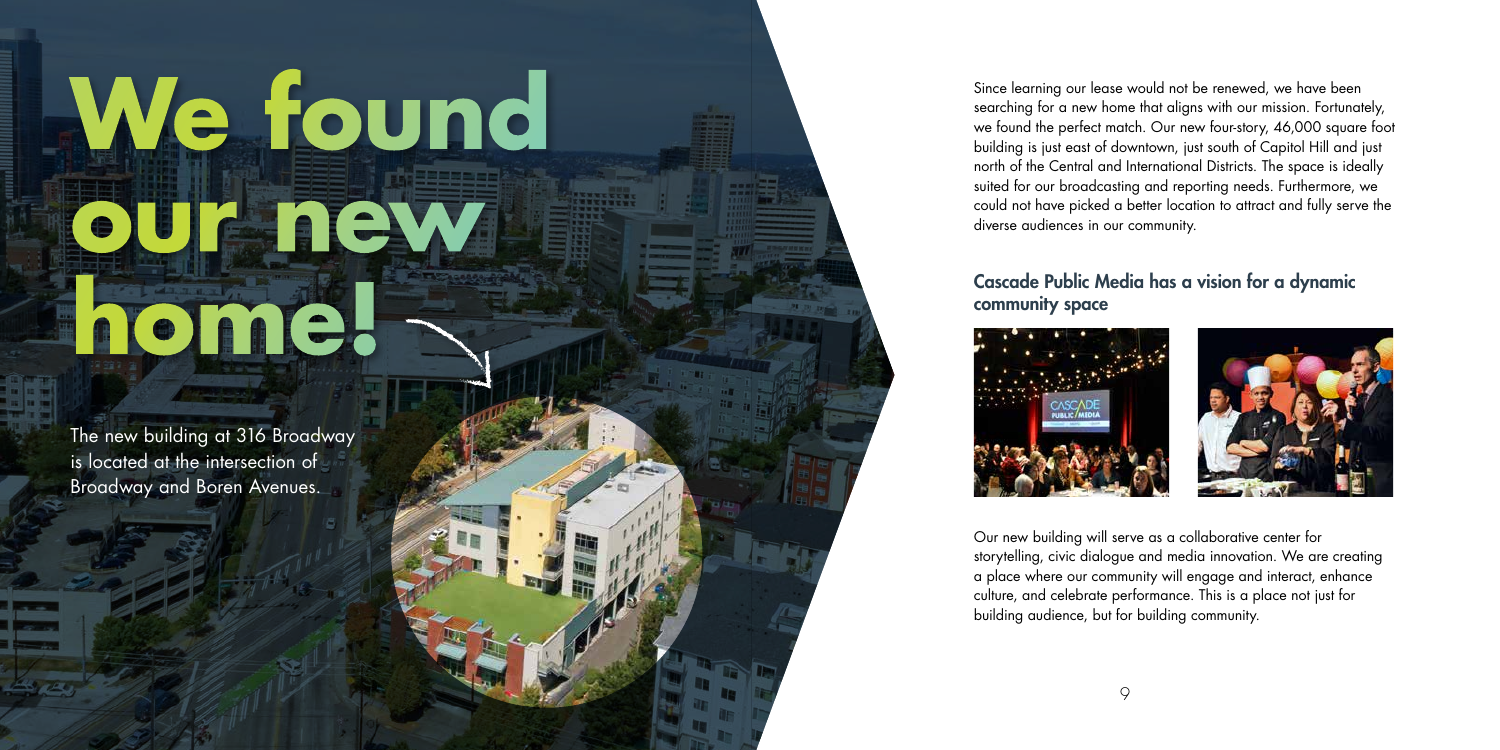

# **We found our new home!**

The new building at 316 Broadway is located at the intersection of Broadway and Boren Avenues.

Since learning our lease would not be renewed, we have been searching for a new home that aligns with our mission. Fortunately, we found the perfect match. Our new four-story, 46,000 square foot building is just east of downtown, just south of Capitol Hill and just north of the Central and International Districts. The space is ideally suited for our broadcasting and reporting needs. Furthermore, we could not have picked a better location to attract and fully serve the diverse audiences in our community.

#### Cascade Public Media has a vision for a dynamic community space



Our new building will serve as a collaborative center for storytelling, civic dialogue and media innovation. We are creating a place where our community will engage and interact, enhance culture, and celebrate performance. This is a place not just for building audience, but for building community.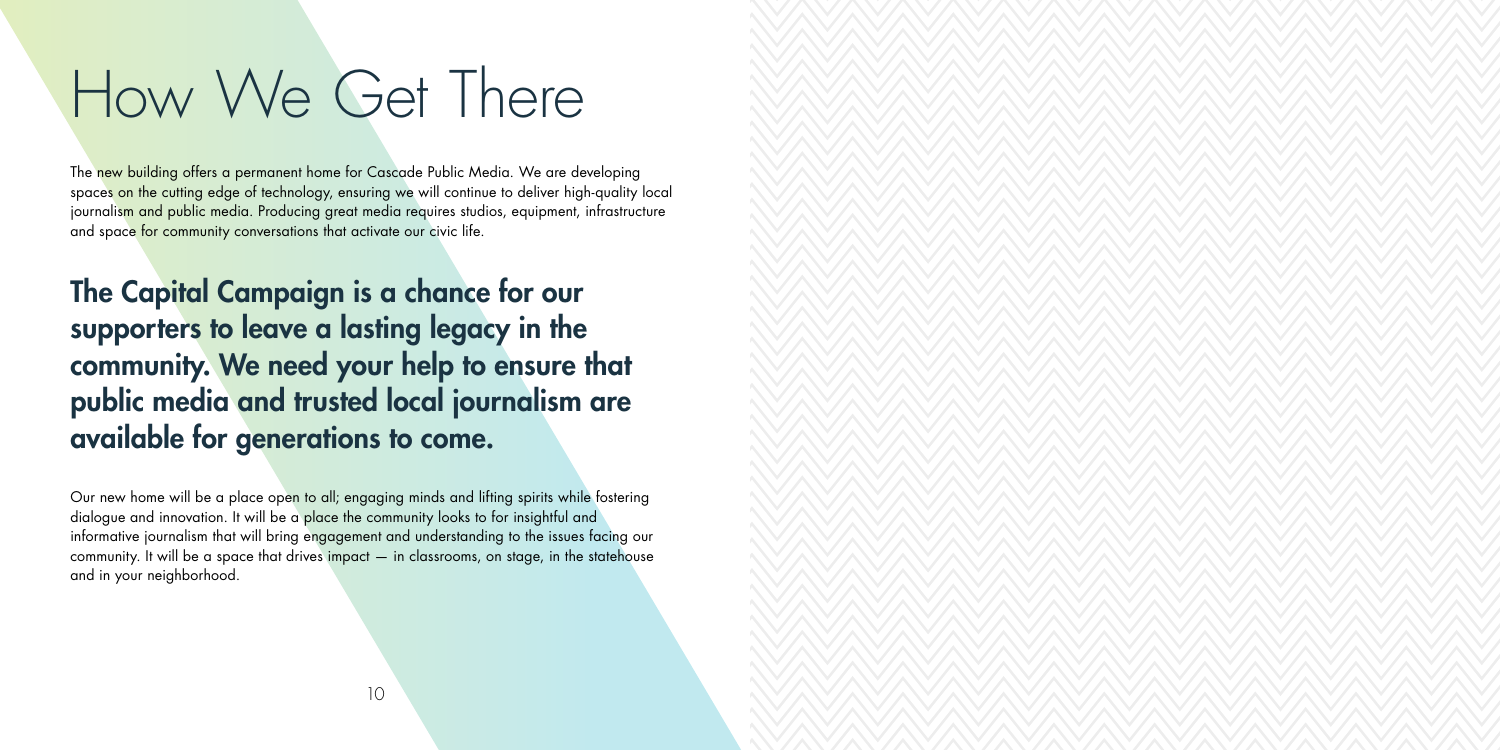10

# How We Get There

The new building offers a permanent home for Cascade Public Media. We are developing spaces on the cutting edge of technology, ensuring we will continue to deliver high-quality local journalism and public media. Producing great media requires studios, equipment, infrastructure and space for community conversations that activate our civic life.

The Capital Campaign is a chance for our supporters to leave a lasting legacy in the community. We need your help to ensure that public media and trusted local journalism are available for generations to come.

Our new home will be a place open to all; engaging minds and lifting spirits while fostering dialogue and innovation. It will be a place the community looks to for insightful and informative journalism that will bring engagement and understanding to the issues facing our community. It will be a space that drives impact — in classrooms, on stage, in the statehouse and in your neighborhood.